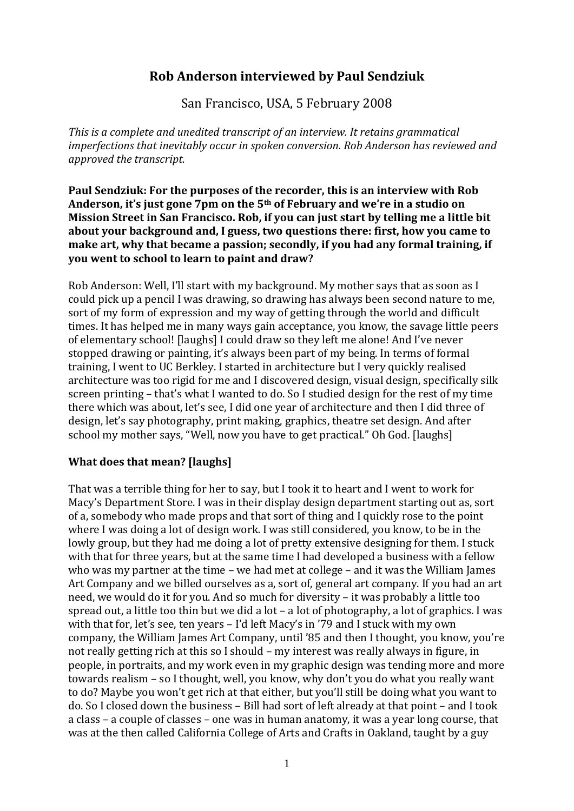# **Rob Anderson interviewed by Paul Sendziuk**

San Francisco, USA, 5 February 2008

*This is a complete and unedited transcript of an interview. It retains grammatical imperfections that inevitably occur in spoken conversion. Rob Anderson has reviewed and approved the transcript.*

**Paul Sendziuk: For the purposes of the recorder, this is an interview with Rob Anderson, it's just gone 7pm on the 5th of February and we're in a studio on Mission Street in San Francisco. Rob, if you can just start by telling me a little bit about your background and, I guess, two questions there: first, how you came to make art, why that became a passion; secondly, if you had any formal training, if you went to school to learn to paint and draw?**

Rob Anderson: Well, I'll start with my background. My mother says that as soon as I could pick up a pencil I was drawing, so drawing has always been second nature to me, sort of my form of expression and my way of getting through the world and difficult times. It has helped me in many ways gain acceptance, you know, the savage little peers of elementary school! [laughs] I could draw so they left me alone! And I've never stopped drawing or painting, it's always been part of my being. In terms of formal training, I went to UC Berkley. I started in architecture but I very quickly realised architecture was too rigid for me and I discovered design, visual design, specifically silk screen printing – that's what I wanted to do. So I studied design for the rest of my time there which was about, let's see, I did one year of architecture and then I did three of design, let's say photography, print making, graphics, theatre set design. And after school my mother says, "Well, now you have to get practical." Oh God. [laughs]

### **What does that mean? [laughs]**

That was a terrible thing for her to say, but I took it to heart and I went to work for Macy's Department Store. I was in their display design department starting out as, sort of a, somebody who made props and that sort of thing and I quickly rose to the point where I was doing a lot of design work. I was still considered, you know, to be in the lowly group, but they had me doing a lot of pretty extensive designing for them. I stuck with that for three years, but at the same time I had developed a business with a fellow who was my partner at the time – we had met at college – and it was the William James Art Company and we billed ourselves as a, sort of, general art company. If you had an art need, we would do it for you. And so much for diversity – it was probably a little too spread out, a little too thin but we did a lot – a lot of photography, a lot of graphics. I was with that for, let's see, ten years – I'd left Macy's in '79 and I stuck with my own company, the William James Art Company, until '85 and then I thought, you know, you're not really getting rich at this so I should – my interest was really always in figure, in people, in portraits, and my work even in my graphic design was tending more and more towards realism – so I thought, well, you know, why don't you do what you really want to do? Maybe you won't get rich at that either, but you'll still be doing what you want to do. So I closed down the business – Bill had sort of left already at that point – and I took a class – a couple of classes – one was in human anatomy, it was a year long course, that was at the then called California College of Arts and Crafts in Oakland, taught by a guy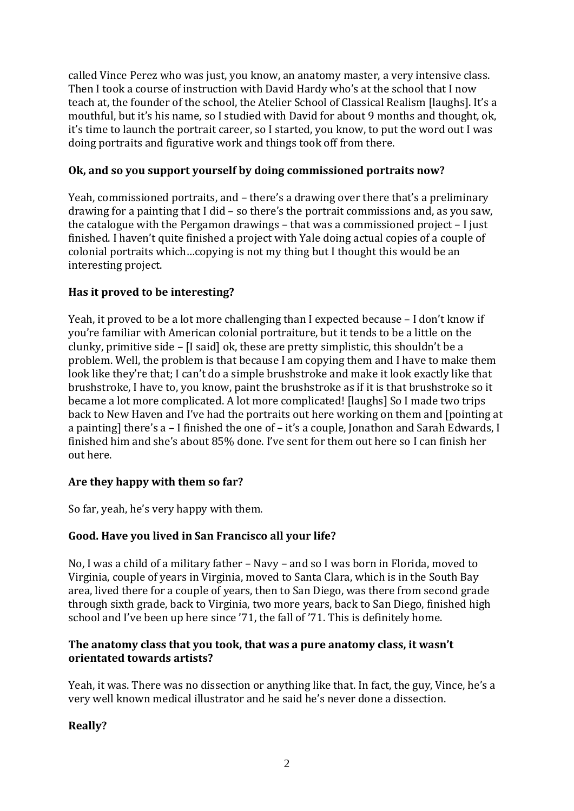called Vince Perez who was just, you know, an anatomy master, a very intensive class. Then I took a course of instruction with David Hardy who's at the school that I now teach at, the founder of the school, the Atelier School of Classical Realism [laughs]. It's a mouthful, but it's his name, so I studied with David for about 9 months and thought, ok, it's time to launch the portrait career, so I started, you know, to put the word out I was doing portraits and figurative work and things took off from there.

# **Ok, and so you support yourself by doing commissioned portraits now?**

Yeah, commissioned portraits, and – there's a drawing over there that's a preliminary drawing for a painting that I did – so there's the portrait commissions and, as you saw, the catalogue with the Pergamon drawings – that was a commissioned project – I just finished. I haven't quite finished a project with Yale doing actual copies of a couple of colonial portraits which…copying is not my thing but I thought this would be an interesting project.

## **Has it proved to be interesting?**

Yeah, it proved to be a lot more challenging than I expected because – I don't know if you're familiar with American colonial portraiture, but it tends to be a little on the clunky, primitive side – [I said] ok, these are pretty simplistic, this shouldn't be a problem. Well, the problem is that because I am copying them and I have to make them look like they're that; I can't do a simple brushstroke and make it look exactly like that brushstroke, I have to, you know, paint the brushstroke as if it is that brushstroke so it became a lot more complicated. A lot more complicated! [laughs] So I made two trips back to New Haven and I've had the portraits out here working on them and [pointing at a painting] there's a – I finished the one of – it's a couple, Jonathon and Sarah Edwards, I finished him and she's about 85% done. I've sent for them out here so I can finish her out here.

### **Are they happy with them so far?**

So far, yeah, he's very happy with them.

# **Good. Have you lived in San Francisco all your life?**

No, I was a child of a military father – Navy – and so I was born in Florida, moved to Virginia, couple of years in Virginia, moved to Santa Clara, which is in the South Bay area, lived there for a couple of years, then to San Diego, was there from second grade through sixth grade, back to Virginia, two more years, back to San Diego, finished high school and I've been up here since '71, the fall of '71. This is definitely home.

### **The anatomy class that you took, that was a pure anatomy class, it wasn't orientated towards artists?**

Yeah, it was. There was no dissection or anything like that. In fact, the guy, Vince, he's a very well known medical illustrator and he said he's never done a dissection.

# **Really?**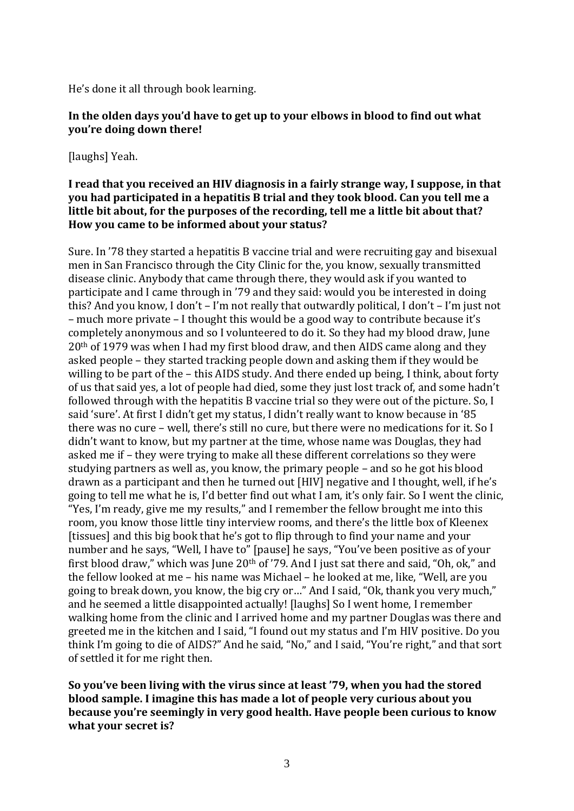He's done it all through book learning.

### **In the olden days you'd have to get up to your elbows in blood to find out what you're doing down there!**

[laughs] Yeah.

#### **I read that you received an HIV diagnosis in a fairly strange way, I suppose, in that you had participated in a hepatitis B trial and they took blood. Can you tell me a little bit about, for the purposes of the recording, tell me a little bit about that? How you came to be informed about your status?**

Sure. In '78 they started a hepatitis B vaccine trial and were recruiting gay and bisexual men in San Francisco through the City Clinic for the, you know, sexually transmitted disease clinic. Anybody that came through there, they would ask if you wanted to participate and I came through in '79 and they said: would you be interested in doing this? And you know, I don't – I'm not really that outwardly political, I don't – I'm just not – much more private – I thought this would be a good way to contribute because it's completely anonymous and so I volunteered to do it. So they had my blood draw, June 20th of 1979 was when I had my first blood draw, and then AIDS came along and they asked people – they started tracking people down and asking them if they would be willing to be part of the – this AIDS study. And there ended up being, I think, about forty of us that said yes, a lot of people had died, some they just lost track of, and some hadn't followed through with the hepatitis B vaccine trial so they were out of the picture. So, I said 'sure'. At first I didn't get my status, I didn't really want to know because in '85 there was no cure – well, there's still no cure, but there were no medications for it. So I didn't want to know, but my partner at the time, whose name was Douglas, they had asked me if – they were trying to make all these different correlations so they were studying partners as well as, you know, the primary people – and so he got his blood drawn as a participant and then he turned out [HIV] negative and I thought, well, if he's going to tell me what he is, I'd better find out what I am, it's only fair. So I went the clinic, "Yes, I'm ready, give me my results," and I remember the fellow brought me into this room, you know those little tiny interview rooms, and there's the little box of Kleenex [tissues] and this big book that he's got to flip through to find your name and your number and he says, "Well, I have to" [pause] he says, "You've been positive as of your first blood draw," which was June  $20<sup>th</sup>$  of '79. And I just sat there and said, "Oh, ok," and the fellow looked at me – his name was Michael – he looked at me, like, "Well, are you going to break down, you know, the big cry or…" And I said, "Ok, thank you very much," and he seemed a little disappointed actually! [laughs] So I went home, I remember walking home from the clinic and I arrived home and my partner Douglas was there and greeted me in the kitchen and I said, "I found out my status and I'm HIV positive. Do you think I'm going to die of AIDS?" And he said, "No," and I said, "You're right," and that sort of settled it for me right then.

**So you've been living with the virus since at least '79, when you had the stored blood sample. I imagine this has made a lot of people very curious about you because you're seemingly in very good health. Have people been curious to know what your secret is?**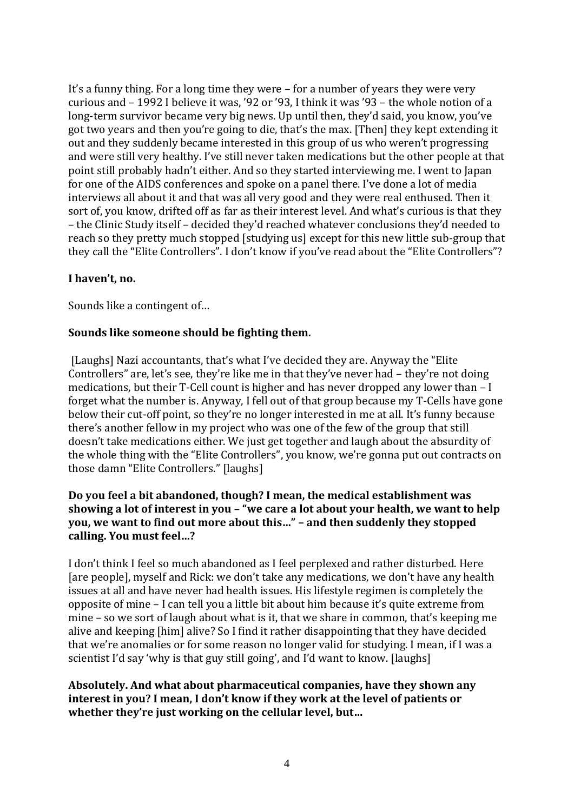It's a funny thing. For a long time they were – for a number of years they were very curious and – 1992 I believe it was, '92 or '93, I think it was '93 – the whole notion of a long-term survivor became very big news. Up until then, they'd said, you know, you've got two years and then you're going to die, that's the max. [Then] they kept extending it out and they suddenly became interested in this group of us who weren't progressing and were still very healthy. I've still never taken medications but the other people at that point still probably hadn't either. And so they started interviewing me. I went to Japan for one of the AIDS conferences and spoke on a panel there. I've done a lot of media interviews all about it and that was all very good and they were real enthused. Then it sort of, you know, drifted off as far as their interest level. And what's curious is that they – the Clinic Study itself – decided they'd reached whatever conclusions they'd needed to reach so they pretty much stopped [studying us] except for this new little sub-group that they call the "Elite Controllers". I don't know if you've read about the "Elite Controllers"?

### **I haven't, no.**

Sounds like a contingent of…

# **Sounds like someone should be fighting them.**

[Laughs] Nazi accountants, that's what I've decided they are. Anyway the "Elite Controllers" are, let's see, they're like me in that they've never had – they're not doing medications, but their T-Cell count is higher and has never dropped any lower than – I forget what the number is. Anyway, I fell out of that group because my T-Cells have gone below their cut-off point, so they're no longer interested in me at all. It's funny because there's another fellow in my project who was one of the few of the group that still doesn't take medications either. We just get together and laugh about the absurdity of the whole thing with the "Elite Controllers", you know, we're gonna put out contracts on those damn "Elite Controllers." [laughs]

## **Do you feel a bit abandoned, though? I mean, the medical establishment was showing a lot of interest in you – "we care a lot about your health, we want to help you, we want to find out more about this…" – and then suddenly they stopped calling. You must feel…?**

I don't think I feel so much abandoned as I feel perplexed and rather disturbed. Here [are people], myself and Rick: we don't take any medications, we don't have any health issues at all and have never had health issues. His lifestyle regimen is completely the opposite of mine – I can tell you a little bit about him because it's quite extreme from mine – so we sort of laugh about what is it, that we share in common, that's keeping me alive and keeping [him] alive? So I find it rather disappointing that they have decided that we're anomalies or for some reason no longer valid for studying. I mean, if I was a scientist I'd say 'why is that guy still going', and I'd want to know. [laughs]

## **Absolutely. And what about pharmaceutical companies, have they shown any interest in you? I mean, I don't know if they work at the level of patients or whether they're just working on the cellular level, but…**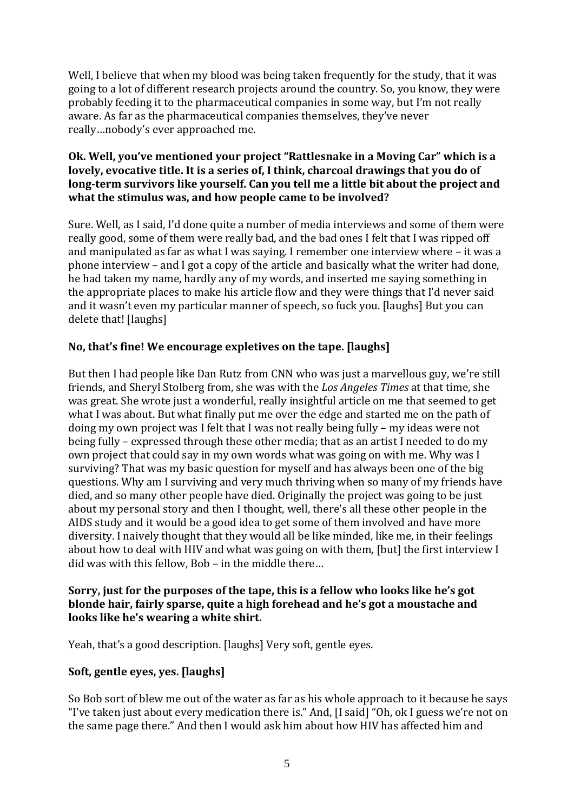Well, I believe that when my blood was being taken frequently for the study, that it was going to a lot of different research projects around the country. So, you know, they were probably feeding it to the pharmaceutical companies in some way, but I'm not really aware. As far as the pharmaceutical companies themselves, they've never really…nobody's ever approached me.

# **Ok. Well, you've mentioned your project "Rattlesnake in a Moving Car" which is a lovely, evocative title. It is a series of, I think, charcoal drawings that you do of long-term survivors like yourself. Can you tell me a little bit about the project and what the stimulus was, and how people came to be involved?**

Sure. Well, as I said, I'd done quite a number of media interviews and some of them were really good, some of them were really bad, and the bad ones I felt that I was ripped off and manipulated as far as what I was saying. I remember one interview where – it was a phone interview – and I got a copy of the article and basically what the writer had done, he had taken my name, hardly any of my words, and inserted me saying something in the appropriate places to make his article flow and they were things that I'd never said and it wasn't even my particular manner of speech, so fuck you. [laughs] But you can delete that! [laughs]

# **No, that's fine! We encourage expletives on the tape. [laughs]**

But then I had people like Dan Rutz from CNN who was just a marvellous guy, we're still friends, and Sheryl Stolberg from, she was with the *Los Angeles Times* at that time, she was great. She wrote just a wonderful, really insightful article on me that seemed to get what I was about. But what finally put me over the edge and started me on the path of doing my own project was I felt that I was not really being fully – my ideas were not being fully – expressed through these other media; that as an artist I needed to do my own project that could say in my own words what was going on with me. Why was I surviving? That was my basic question for myself and has always been one of the big questions. Why am I surviving and very much thriving when so many of my friends have died, and so many other people have died. Originally the project was going to be just about my personal story and then I thought, well, there's all these other people in the AIDS study and it would be a good idea to get some of them involved and have more diversity. I naively thought that they would all be like minded, like me, in their feelings about how to deal with HIV and what was going on with them, [but] the first interview I did was with this fellow, Bob – in the middle there…

### **Sorry, just for the purposes of the tape, this is a fellow who looks like he's got blonde hair, fairly sparse, quite a high forehead and he's got a moustache and looks like he's wearing a white shirt.**

Yeah, that's a good description. [laughs] Very soft, gentle eyes.

# **Soft, gentle eyes, yes. [laughs]**

So Bob sort of blew me out of the water as far as his whole approach to it because he says "I've taken just about every medication there is." And, [I said] "Oh, ok I guess we're not on the same page there." And then I would ask him about how HIV has affected him and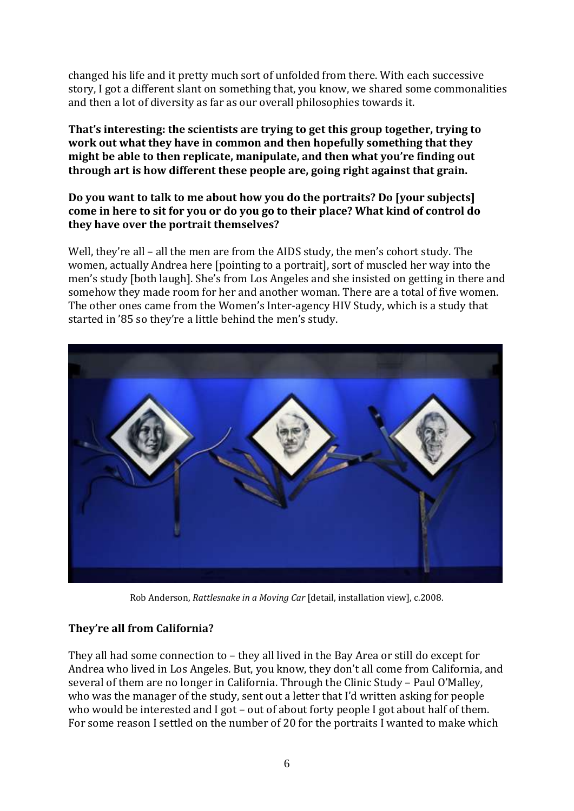changed his life and it pretty much sort of unfolded from there. With each successive story, I got a different slant on something that, you know, we shared some commonalities and then a lot of diversity as far as our overall philosophies towards it.

## **That's interesting: the scientists are trying to get this group together, trying to work out what they have in common and then hopefully something that they might be able to then replicate, manipulate, and then what you're finding out through art is how different these people are, going right against that grain.**

## **Do you want to talk to me about how you do the portraits? Do [your subjects] come in here to sit for you or do you go to their place? What kind of control do they have over the portrait themselves?**

Well, they're all – all the men are from the AIDS study, the men's cohort study. The women, actually Andrea here [pointing to a portrait], sort of muscled her way into the men's study [both laugh]. She's from Los Angeles and she insisted on getting in there and somehow they made room for her and another woman. There are a total of five women. The other ones came from the Women's Inter-agency HIV Study, which is a study that started in '85 so they're a little behind the men's study.



Rob Anderson, *Rattlesnake in a Moving Car* [detail, installation view], c.2008.

# **They're all from California?**

They all had some connection to – they all lived in the Bay Area or still do except for Andrea who lived in Los Angeles. But, you know, they don't all come from California, and several of them are no longer in California. Through the Clinic Study – Paul O'Malley, who was the manager of the study, sent out a letter that I'd written asking for people who would be interested and I got – out of about forty people I got about half of them. For some reason I settled on the number of 20 for the portraits I wanted to make which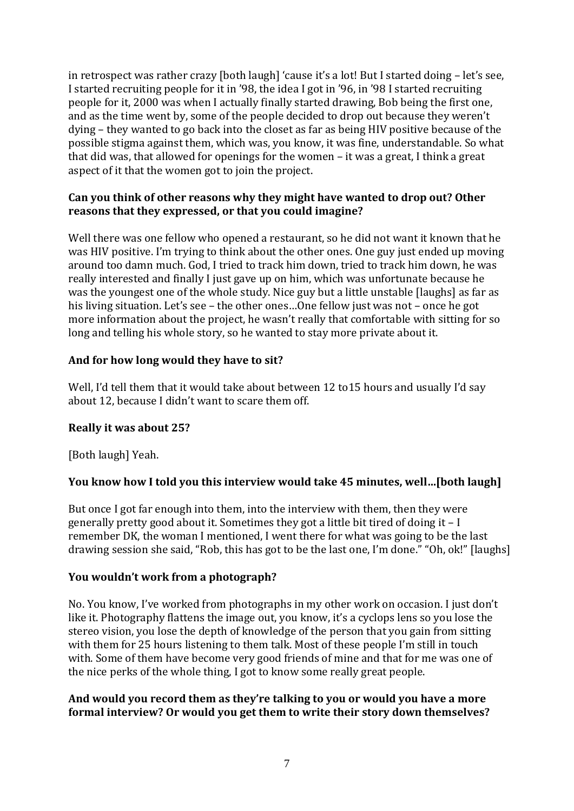in retrospect was rather crazy [both laugh] 'cause it's a lot! But I started doing – let's see, I started recruiting people for it in '98, the idea I got in '96, in '98 I started recruiting people for it, 2000 was when I actually finally started drawing, Bob being the first one, and as the time went by, some of the people decided to drop out because they weren't dying – they wanted to go back into the closet as far as being HIV positive because of the possible stigma against them, which was, you know, it was fine, understandable. So what that did was, that allowed for openings for the women – it was a great, I think a great aspect of it that the women got to join the project.

## **Can you think of other reasons why they might have wanted to drop out? Other reasons that they expressed, or that you could imagine?**

Well there was one fellow who opened a restaurant, so he did not want it known that he was HIV positive. I'm trying to think about the other ones. One guy just ended up moving around too damn much. God, I tried to track him down, tried to track him down, he was really interested and finally I just gave up on him, which was unfortunate because he was the youngest one of the whole study. Nice guy but a little unstable [laughs] as far as his living situation. Let's see – the other ones…One fellow just was not – once he got more information about the project, he wasn't really that comfortable with sitting for so long and telling his whole story, so he wanted to stay more private about it.

# **And for how long would they have to sit?**

Well, I'd tell them that it would take about between 12 to 15 hours and usually I'd say about 12, because I didn't want to scare them off.

# **Really it was about 25?**

[Both laugh] Yeah.

# **You know how I told you this interview would take 45 minutes, well…[both laugh]**

But once I got far enough into them, into the interview with them, then they were generally pretty good about it. Sometimes they got a little bit tired of doing it – I remember DK, the woman I mentioned, I went there for what was going to be the last drawing session she said, "Rob, this has got to be the last one, I'm done." "Oh, ok!" [laughs]

# **You wouldn't work from a photograph?**

No. You know, I've worked from photographs in my other work on occasion. I just don't like it. Photography flattens the image out, you know, it's a cyclops lens so you lose the stereo vision, you lose the depth of knowledge of the person that you gain from sitting with them for 25 hours listening to them talk. Most of these people I'm still in touch with. Some of them have become very good friends of mine and that for me was one of the nice perks of the whole thing, I got to know some really great people.

## **And would you record them as they're talking to you or would you have a more formal interview? Or would you get them to write their story down themselves?**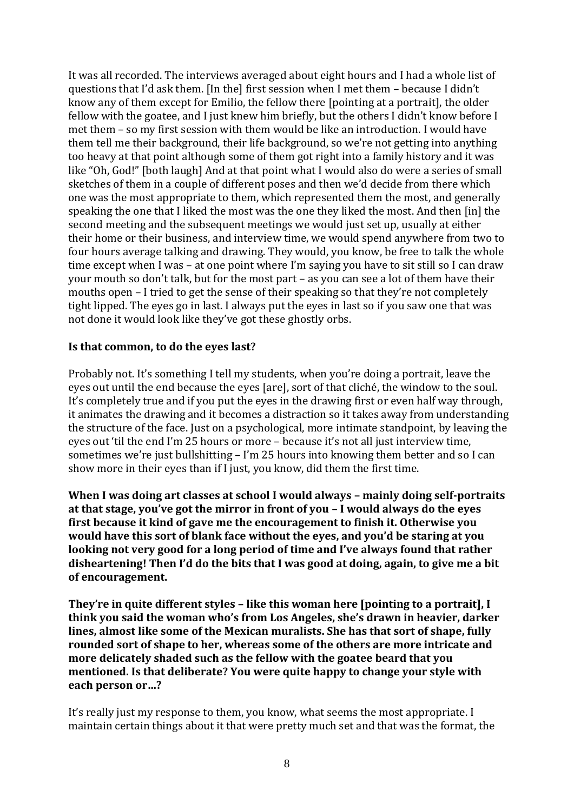It was all recorded. The interviews averaged about eight hours and I had a whole list of questions that I'd ask them. [In the] first session when I met them – because I didn't know any of them except for Emilio, the fellow there [pointing at a portrait], the older fellow with the goatee, and I just knew him briefly, but the others I didn't know before I met them – so my first session with them would be like an introduction. I would have them tell me their background, their life background, so we're not getting into anything too heavy at that point although some of them got right into a family history and it was like "Oh, God!" [both laugh] And at that point what I would also do were a series of small sketches of them in a couple of different poses and then we'd decide from there which one was the most appropriate to them, which represented them the most, and generally speaking the one that I liked the most was the one they liked the most. And then [in] the second meeting and the subsequent meetings we would just set up, usually at either their home or their business, and interview time, we would spend anywhere from two to four hours average talking and drawing. They would, you know, be free to talk the whole time except when I was – at one point where I'm saying you have to sit still so I can draw your mouth so don't talk, but for the most part – as you can see a lot of them have their mouths open – I tried to get the sense of their speaking so that they're not completely tight lipped. The eyes go in last. I always put the eyes in last so if you saw one that was not done it would look like they've got these ghostly orbs.

### **Is that common, to do the eyes last?**

Probably not. It's something I tell my students, when you're doing a portrait, leave the eyes out until the end because the eyes [are], sort of that cliché, the window to the soul. It's completely true and if you put the eyes in the drawing first or even half way through, it animates the drawing and it becomes a distraction so it takes away from understanding the structure of the face. Just on a psychological, more intimate standpoint, by leaving the eyes out 'til the end I'm 25 hours or more – because it's not all just interview time, sometimes we're just bullshitting – I'm 25 hours into knowing them better and so I can show more in their eyes than if I just, you know, did them the first time.

**When I was doing art classes at school I would always – mainly doing self-portraits at that stage, you've got the mirror in front of you – I would always do the eyes first because it kind of gave me the encouragement to finish it. Otherwise you would have this sort of blank face without the eyes, and you'd be staring at you looking not very good for a long period of time and I've always found that rather disheartening! Then I'd do the bits that I was good at doing, again, to give me a bit of encouragement.** 

**They're in quite different styles – like this woman here [pointing to a portrait], I think you said the woman who's from Los Angeles, she's drawn in heavier, darker lines, almost like some of the Mexican muralists. She has that sort of shape, fully rounded sort of shape to her, whereas some of the others are more intricate and more delicately shaded such as the fellow with the goatee beard that you mentioned. Is that deliberate? You were quite happy to change your style with each person or…?**

It's really just my response to them, you know, what seems the most appropriate. I maintain certain things about it that were pretty much set and that was the format, the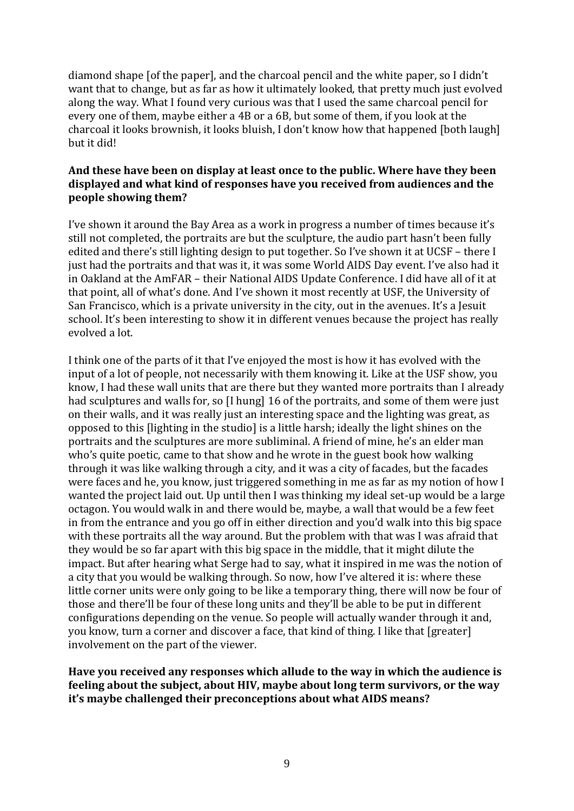diamond shape [of the paper], and the charcoal pencil and the white paper, so I didn't want that to change, but as far as how it ultimately looked, that pretty much just evolved along the way. What I found very curious was that I used the same charcoal pencil for every one of them, maybe either a 4B or a 6B, but some of them, if you look at the charcoal it looks brownish, it looks bluish, I don't know how that happened [both laugh] but it did!

# **And these have been on display at least once to the public. Where have they been displayed and what kind of responses have you received from audiences and the people showing them?**

I've shown it around the Bay Area as a work in progress a number of times because it's still not completed, the portraits are but the sculpture, the audio part hasn't been fully edited and there's still lighting design to put together. So I've shown it at UCSF – there I just had the portraits and that was it, it was some World AIDS Day event. I've also had it in Oakland at the AmFAR – their National AIDS Update Conference. I did have all of it at that point, all of what's done. And I've shown it most recently at USF, the University of San Francisco, which is a private university in the city, out in the avenues. It's a Jesuit school. It's been interesting to show it in different venues because the project has really evolved a lot.

I think one of the parts of it that I've enjoyed the most is how it has evolved with the input of a lot of people, not necessarily with them knowing it. Like at the USF show, you know, I had these wall units that are there but they wanted more portraits than I already had sculptures and walls for, so [I hung] 16 of the portraits, and some of them were just on their walls, and it was really just an interesting space and the lighting was great, as opposed to this [lighting in the studio] is a little harsh; ideally the light shines on the portraits and the sculptures are more subliminal. A friend of mine, he's an elder man who's quite poetic, came to that show and he wrote in the guest book how walking through it was like walking through a city, and it was a city of facades, but the facades were faces and he, you know, just triggered something in me as far as my notion of how I wanted the project laid out. Up until then I was thinking my ideal set-up would be a large octagon. You would walk in and there would be, maybe, a wall that would be a few feet in from the entrance and you go off in either direction and you'd walk into this big space with these portraits all the way around. But the problem with that was I was afraid that they would be so far apart with this big space in the middle, that it might dilute the impact. But after hearing what Serge had to say, what it inspired in me was the notion of a city that you would be walking through. So now, how I've altered it is: where these little corner units were only going to be like a temporary thing, there will now be four of those and there'll be four of these long units and they'll be able to be put in different configurations depending on the venue. So people will actually wander through it and, you know, turn a corner and discover a face, that kind of thing. I like that [greater] involvement on the part of the viewer.

### **Have you received any responses which allude to the way in which the audience is feeling about the subject, about HIV, maybe about long term survivors, or the way it's maybe challenged their preconceptions about what AIDS means?**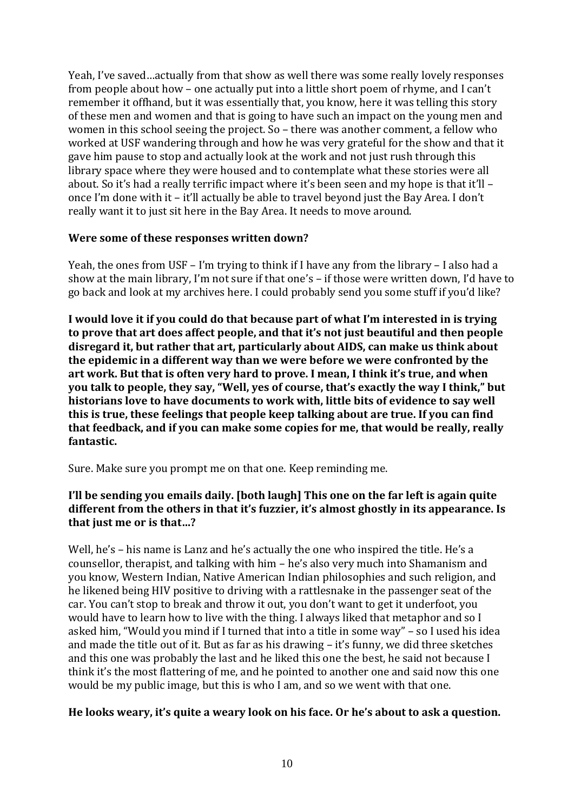Yeah, I've saved…actually from that show as well there was some really lovely responses from people about how – one actually put into a little short poem of rhyme, and I can't remember it offhand, but it was essentially that, you know, here it was telling this story of these men and women and that is going to have such an impact on the young men and women in this school seeing the project. So – there was another comment, a fellow who worked at USF wandering through and how he was very grateful for the show and that it gave him pause to stop and actually look at the work and not just rush through this library space where they were housed and to contemplate what these stories were all about. So it's had a really terrific impact where it's been seen and my hope is that it'll – once I'm done with it – it'll actually be able to travel beyond just the Bay Area. I don't really want it to just sit here in the Bay Area. It needs to move around.

### **Were some of these responses written down?**

Yeah, the ones from USF – I'm trying to think if I have any from the library – I also had a show at the main library, I'm not sure if that one's – if those were written down, I'd have to go back and look at my archives here. I could probably send you some stuff if you'd like?

**I would love it if you could do that because part of what I'm interested in is trying to prove that art does affect people, and that it's not just beautiful and then people disregard it, but rather that art, particularly about AIDS, can make us think about the epidemic in a different way than we were before we were confronted by the art work. But that is often very hard to prove. I mean, I think it's true, and when you talk to people, they say, "Well, yes of course, that's exactly the way I think," but historians love to have documents to work with, little bits of evidence to say well this is true, these feelings that people keep talking about are true. If you can find that feedback, and if you can make some copies for me, that would be really, really fantastic.**

Sure. Make sure you prompt me on that one. Keep reminding me.

# **I'll be sending you emails daily. [both laugh] This one on the far left is again quite different from the others in that it's fuzzier, it's almost ghostly in its appearance. Is that just me or is that…?**

Well, he's – his name is Lanz and he's actually the one who inspired the title. He's a counsellor, therapist, and talking with him – he's also very much into Shamanism and you know, Western Indian, Native American Indian philosophies and such religion, and he likened being HIV positive to driving with a rattlesnake in the passenger seat of the car. You can't stop to break and throw it out, you don't want to get it underfoot, you would have to learn how to live with the thing. I always liked that metaphor and so I asked him, "Would you mind if I turned that into a title in some way" – so I used his idea and made the title out of it. But as far as his drawing – it's funny, we did three sketches and this one was probably the last and he liked this one the best, he said not because I think it's the most flattering of me, and he pointed to another one and said now this one would be my public image, but this is who I am, and so we went with that one.

### **He looks weary, it's quite a weary look on his face. Or he's about to ask a question.**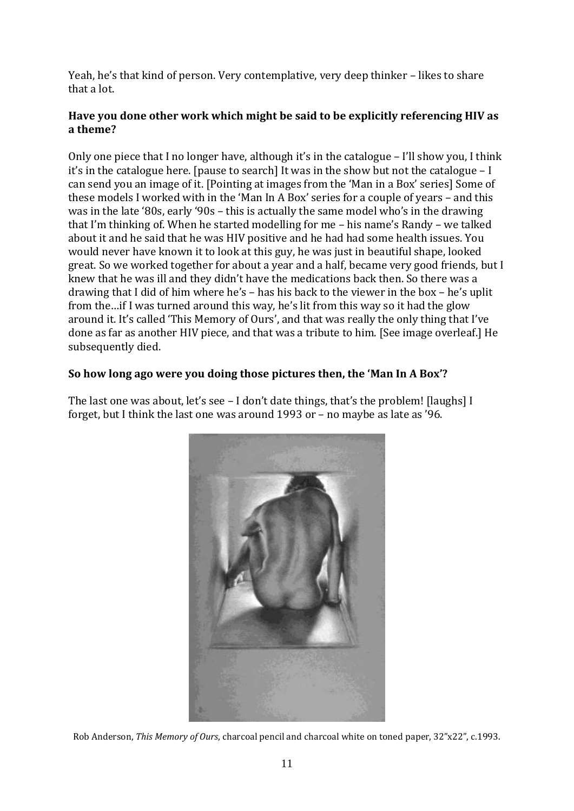Yeah, he's that kind of person. Very contemplative, very deep thinker – likes to share that a lot.

# **Have you done other work which might be said to be explicitly referencing HIV as a theme?**

Only one piece that I no longer have, although it's in the catalogue – I'll show you, I think it's in the catalogue here. [pause to search] It was in the show but not the catalogue – I can send you an image of it. [Pointing at images from the 'Man in a Box' series] Some of these models I worked with in the 'Man In A Box' series for a couple of years – and this was in the late '80s, early '90s – this is actually the same model who's in the drawing that I'm thinking of. When he started modelling for me – his name's Randy – we talked about it and he said that he was HIV positive and he had had some health issues. You would never have known it to look at this guy, he was just in beautiful shape, looked great. So we worked together for about a year and a half, became very good friends, but I knew that he was ill and they didn't have the medications back then. So there was a drawing that I did of him where he's – has his back to the viewer in the box – he's uplit from the…if I was turned around this way, he's lit from this way so it had the glow around it. It's called 'This Memory of Ours', and that was really the only thing that I've done as far as another HIV piece, and that was a tribute to him. [See image overleaf.] He subsequently died.

## **So how long ago were you doing those pictures then, the 'Man In A Box'?**

The last one was about, let's see – I don't date things, that's the problem! [laughs] I forget, but I think the last one was around 1993 or – no maybe as late as '96.



Rob Anderson, *This Memory of Ours*, charcoal pencil and charcoal white on toned paper, 32"x22", c.1993.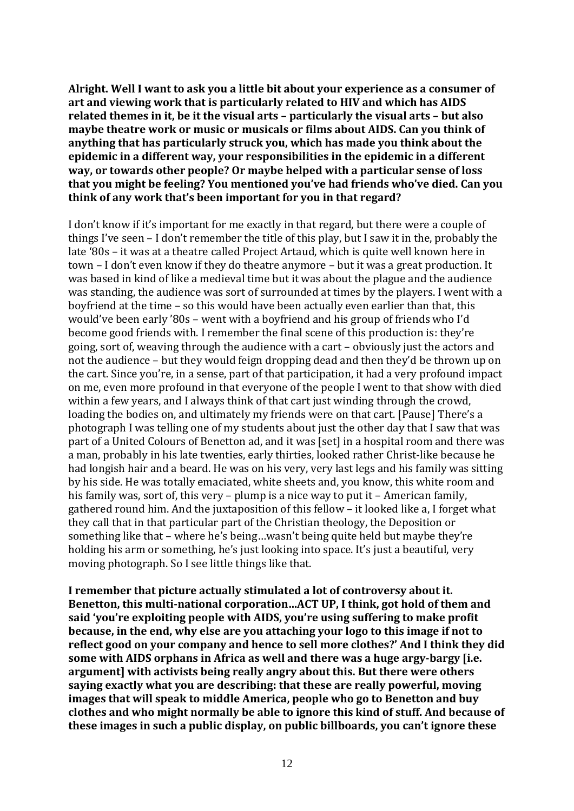**Alright. Well I want to ask you a little bit about your experience as a consumer of art and viewing work that is particularly related to HIV and which has AIDS related themes in it, be it the visual arts – particularly the visual arts – but also maybe theatre work or music or musicals or films about AIDS. Can you think of anything that has particularly struck you, which has made you think about the epidemic in a different way, your responsibilities in the epidemic in a different way, or towards other people? Or maybe helped with a particular sense of loss that you might be feeling? You mentioned you've had friends who've died. Can you think of any work that's been important for you in that regard?**

I don't know if it's important for me exactly in that regard, but there were a couple of things I've seen – I don't remember the title of this play, but I saw it in the, probably the late '80s – it was at a theatre called Project Artaud, which is quite well known here in town – I don't even know if they do theatre anymore – but it was a great production. It was based in kind of like a medieval time but it was about the plague and the audience was standing, the audience was sort of surrounded at times by the players. I went with a boyfriend at the time – so this would have been actually even earlier than that, this would've been early '80s – went with a boyfriend and his group of friends who I'd become good friends with. I remember the final scene of this production is: they're going, sort of, weaving through the audience with a cart – obviously just the actors and not the audience – but they would feign dropping dead and then they'd be thrown up on the cart. Since you're, in a sense, part of that participation, it had a very profound impact on me, even more profound in that everyone of the people I went to that show with died within a few years, and I always think of that cart just winding through the crowd, loading the bodies on, and ultimately my friends were on that cart. [Pause] There's a photograph I was telling one of my students about just the other day that I saw that was part of a United Colours of Benetton ad, and it was [set] in a hospital room and there was a man, probably in his late twenties, early thirties, looked rather Christ-like because he had longish hair and a beard. He was on his very, very last legs and his family was sitting by his side. He was totally emaciated, white sheets and, you know, this white room and his family was, sort of, this very – plump is a nice way to put it – American family, gathered round him. And the juxtaposition of this fellow – it looked like a, I forget what they call that in that particular part of the Christian theology, the Deposition or something like that – where he's being…wasn't being quite held but maybe they're holding his arm or something, he's just looking into space. It's just a beautiful, very moving photograph. So I see little things like that.

**I remember that picture actually stimulated a lot of controversy about it. Benetton, this multi-national corporation…ACT UP, I think, got hold of them and said 'you're exploiting people with AIDS, you're using suffering to make profit because, in the end, why else are you attaching your logo to this image if not to reflect good on your company and hence to sell more clothes?' And I think they did some with AIDS orphans in Africa as well and there was a huge argy-bargy [i.e. argument] with activists being really angry about this. But there were others saying exactly what you are describing: that these are really powerful, moving images that will speak to middle America, people who go to Benetton and buy clothes and who might normally be able to ignore this kind of stuff. And because of these images in such a public display, on public billboards, you can't ignore these**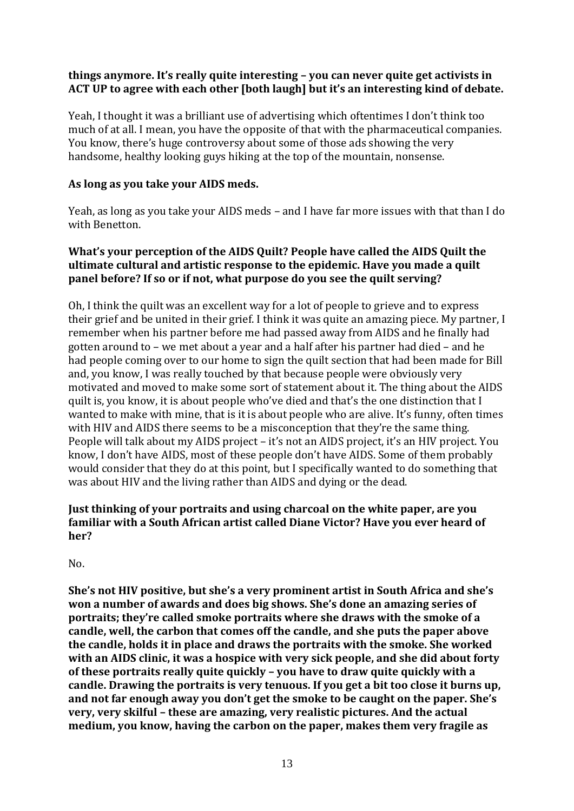## **things anymore. It's really quite interesting – you can never quite get activists in ACT UP to agree with each other [both laugh] but it's an interesting kind of debate.**

Yeah, I thought it was a brilliant use of advertising which oftentimes I don't think too much of at all. I mean, you have the opposite of that with the pharmaceutical companies. You know, there's huge controversy about some of those ads showing the very handsome, healthy looking guys hiking at the top of the mountain, nonsense.

## **As long as you take your AIDS meds.**

Yeah, as long as you take your AIDS meds – and I have far more issues with that than I do with Benetton.

## **What's your perception of the AIDS Quilt? People have called the AIDS Quilt the ultimate cultural and artistic response to the epidemic. Have you made a quilt panel before? If so or if not, what purpose do you see the quilt serving?**

Oh, I think the quilt was an excellent way for a lot of people to grieve and to express their grief and be united in their grief. I think it was quite an amazing piece. My partner, I remember when his partner before me had passed away from AIDS and he finally had gotten around to – we met about a year and a half after his partner had died – and he had people coming over to our home to sign the quilt section that had been made for Bill and, you know, I was really touched by that because people were obviously very motivated and moved to make some sort of statement about it. The thing about the AIDS quilt is, you know, it is about people who've died and that's the one distinction that I wanted to make with mine, that is it is about people who are alive. It's funny, often times with HIV and AIDS there seems to be a misconception that they're the same thing. People will talk about my AIDS project – it's not an AIDS project, it's an HIV project. You know, I don't have AIDS, most of these people don't have AIDS. Some of them probably would consider that they do at this point, but I specifically wanted to do something that was about HIV and the living rather than AIDS and dying or the dead.

# **Just thinking of your portraits and using charcoal on the white paper, are you familiar with a South African artist called Diane Victor? Have you ever heard of her?**

 $No.$ 

**She's not HIV positive, but she's a very prominent artist in South Africa and she's won a number of awards and does big shows. She's done an amazing series of portraits; they're called smoke portraits where she draws with the smoke of a candle, well, the carbon that comes off the candle, and she puts the paper above the candle, holds it in place and draws the portraits with the smoke. She worked with an AIDS clinic, it was a hospice with very sick people, and she did about forty of these portraits really quite quickly – you have to draw quite quickly with a candle. Drawing the portraits is very tenuous. If you get a bit too close it burns up, and not far enough away you don't get the smoke to be caught on the paper. She's very, very skilful – these are amazing, very realistic pictures. And the actual medium, you know, having the carbon on the paper, makes them very fragile as**